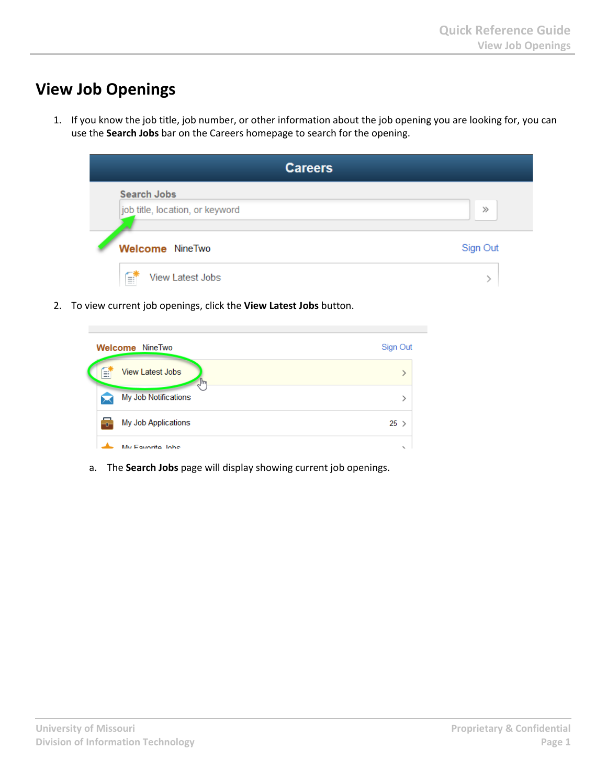## **View Job Openings**

1. If you know the job title, job number, or other information about the job opening you are looking for, you can use the **Search Jobs** bar on the Careers homepage to search for the opening.



2. To view current job openings, click the **View Latest Jobs** button.

|                              | <b>Welcome</b> NineTwo        | Sign Out |
|------------------------------|-------------------------------|----------|
| Ħ                            | <b>View Latest Jobs</b><br>lm |          |
|                              | My Job Notifications          |          |
| $\left  \frac{1}{2} \right $ | My Job Applications           | $25$ >   |
|                              | My Equarita, John             |          |

a. The **Search Jobs** page will display showing current job openings.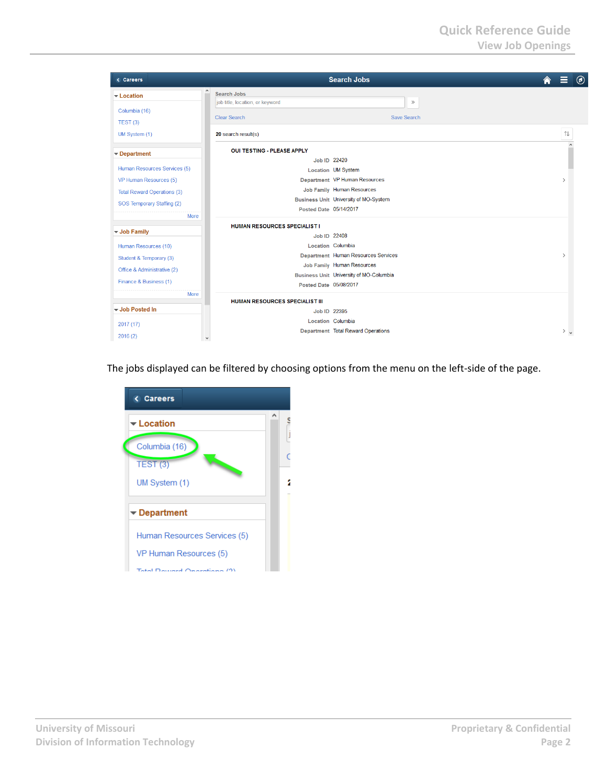| < Careers                                             |                                       | <b>Search Jobs</b>                      | $\circledcirc$<br>Ħ |
|-------------------------------------------------------|---------------------------------------|-----------------------------------------|---------------------|
| $\hat{\phantom{a}}$<br>$\blacktriangleright$ Location | Search Jobs                           |                                         |                     |
| Columbia (16)                                         | job title, location, or keyword       | $\gg$                                   |                     |
| TEST(3)                                               | <b>Clear Search</b>                   | Save Search                             |                     |
| UM System (1)                                         | 20 search result(s)                   |                                         | ⇅                   |
| $\blacktriangleright$ Department                      | <b>OUI TESTING - PLEASE APPLY</b>     |                                         |                     |
|                                                       | Job ID 22420                          |                                         |                     |
| Human Resources Services (5)                          |                                       | Location UM System                      |                     |
| VP Human Resources (5)                                |                                       | Department VP Human Resources           |                     |
| <b>Total Reward Operations (3)</b>                    |                                       | Job Family Human Resources              |                     |
| SOS Temporary Staffing (2)                            |                                       | Business Unit University of MO-System   |                     |
| More                                                  | Posted Date 05/14/2017                |                                         |                     |
|                                                       | <b>HUMAN RESOURCES SPECIALIST I</b>   |                                         |                     |
| ▼ Job Family                                          | Job ID 22408                          |                                         |                     |
| Human Resources (10)                                  | Location Columbia                     |                                         |                     |
|                                                       |                                       | Department Human Resources Services     | $\mathcal{E}$       |
| Student & Temporary (3)                               |                                       | Job Family Human Resources              |                     |
| Office & Administrative (2)                           |                                       | Business Unit University of MO-Columbia |                     |
| Finance & Business (1)                                | Posted Date 05/08/2017                |                                         |                     |
| More                                                  |                                       |                                         |                     |
|                                                       | <b>HUMAN RESOURCES SPECIALIST III</b> |                                         |                     |
| Up Job Posted In                                      | Job ID 22395                          |                                         |                     |
| 2017 (17)                                             | Location Columbia                     |                                         |                     |
|                                                       |                                       | Department Total Reward Operations      | $>$ $\sim$          |
| 2016(2)<br>$\checkmark$                               |                                       |                                         |                     |

The jobs displayed can be filtered by choosing options from the menu on the left-side of the page.

| <b>&lt; Careers</b>              |  |
|----------------------------------|--|
| $\blacktriangleright$ Location   |  |
| Columbia (16)                    |  |
| TEST(3)                          |  |
| UM System (1)                    |  |
| $\blacktriangleright$ Department |  |
| Human Resources Services (5)     |  |
| VP Human Resources (5)           |  |
| Total Daward Operations (9)      |  |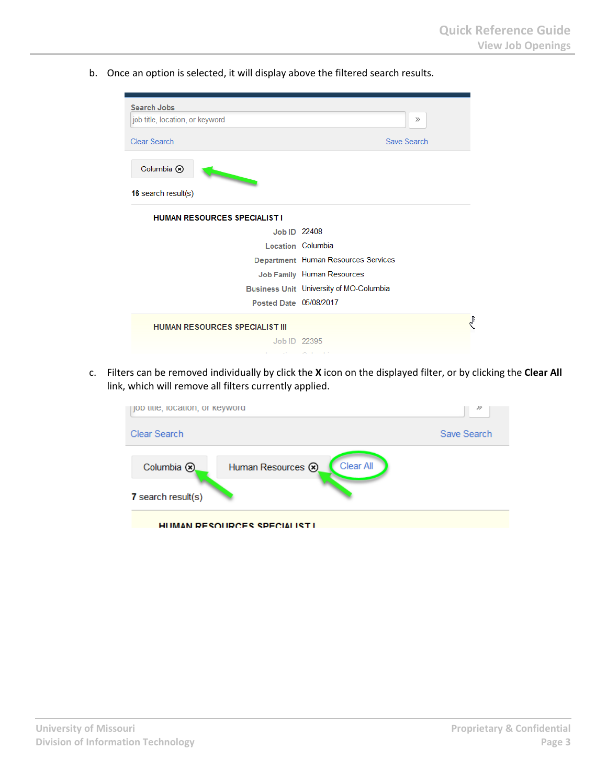b. Once an option is selected, it will display above the filtered search results.

| <b>Search Jobs</b><br>job title, location, or keyword | $\gg$                                   |
|-------------------------------------------------------|-----------------------------------------|
| <b>Clear Search</b>                                   | Save Search                             |
| Columbia ®                                            |                                         |
| 16 search result(s)                                   |                                         |
| <b>HUMAN RESOURCES SPECIALIST I</b>                   |                                         |
| Job ID 22408                                          |                                         |
|                                                       | Location Columbia                       |
|                                                       | Department Human Resources Services     |
|                                                       | Job Family Human Resources              |
|                                                       | Business Unit University of MO-Columbia |
| Posted Date 05/08/2017                                |                                         |
| <b>HUMAN RESOURCES SPECIALIST III</b>                 | $\mathbf{r}$                            |
| Job ID 22395                                          |                                         |
|                                                       |                                         |

 c. Filters can be removed individually by click the **<sup>X</sup>** icon on the displayed filter, or by clicking the **Clear All** link, which will remove all filters currently applied.

| pob uue, locauon, or keyword                                                  | 77          |
|-------------------------------------------------------------------------------|-------------|
| <b>Clear Search</b>                                                           | Save Search |
| <b>Clear All</b><br>Columbia (8)<br>Human Resources (8)<br>7 search result(s) |             |
| HUMAN DESOUDCES SPECIALISTI                                                   |             |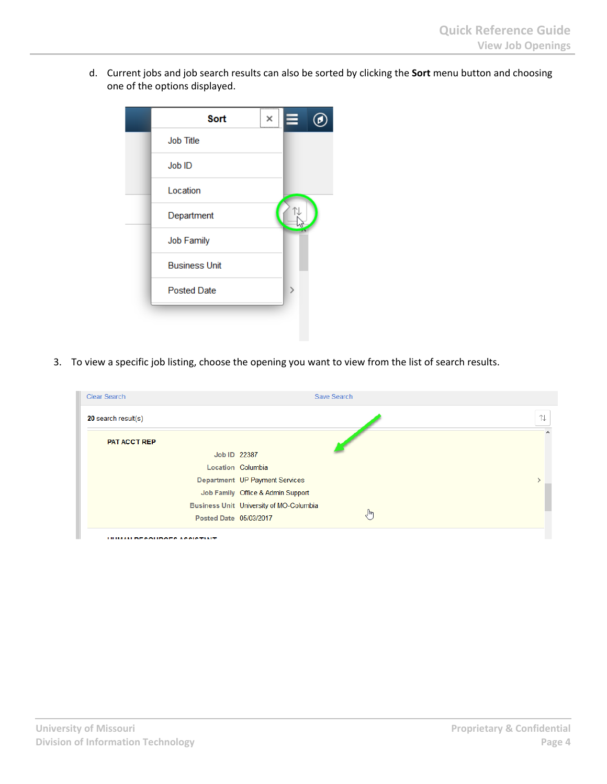d. Current jobs and job search results can also be sorted by clicking the **Sort** menu button and choosing one of the options displayed.

| <b>Sort</b>          | $\times$ |  |
|----------------------|----------|--|
| <b>Job Title</b>     |          |  |
| Job ID               |          |  |
| Location             |          |  |
| Department           |          |  |
| <b>Job Family</b>    |          |  |
| <b>Business Unit</b> |          |  |
| <b>Posted Date</b>   |          |  |
|                      |          |  |

3. To view a specific job listing, choose the opening you want to view from the list of search results.

| <b>Clear Search</b>                 | Save Search                             |          |
|-------------------------------------|-----------------------------------------|----------|
| 20 search result(s)                 |                                         | 讠        |
| <b>PAT ACCT REP</b>                 |                                         | $\wedge$ |
| Job ID 22387                        |                                         |          |
|                                     | Location Columbia                       |          |
|                                     | Department UP Payment Services          |          |
|                                     | Job Family Office & Admin Support       |          |
|                                     | Business Unit University of MO-Columbia |          |
| Posted Date 05/03/2017              | $\frac{1}{2}$                           |          |
| <b>IN IMANU DECOUDOES ACCISTANT</b> |                                         |          |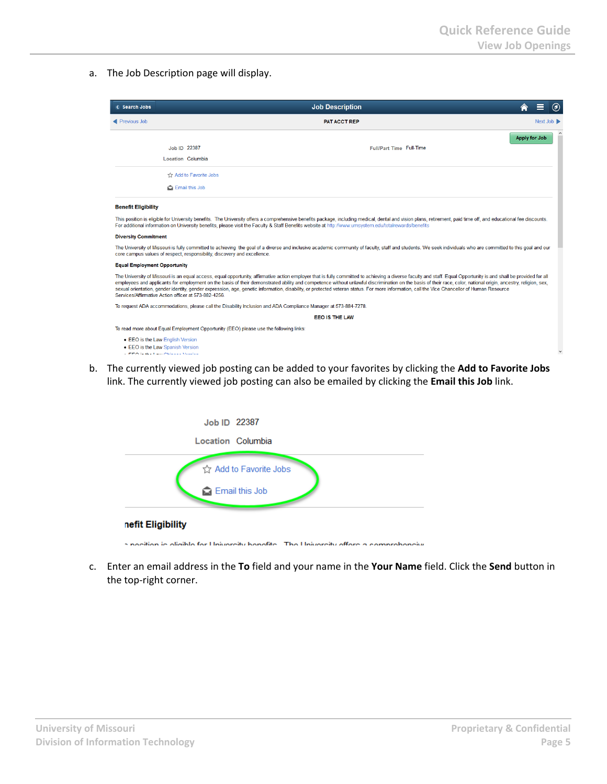a. The Job Description page will display.

| < Search Jobs                                                      |                                                                                                                 | <b>Job Description</b>                                                                                                                                                                                                                                                                                                                                                                                                                                                                                                                                                                                                              |                      | $\odot$  |
|--------------------------------------------------------------------|-----------------------------------------------------------------------------------------------------------------|-------------------------------------------------------------------------------------------------------------------------------------------------------------------------------------------------------------------------------------------------------------------------------------------------------------------------------------------------------------------------------------------------------------------------------------------------------------------------------------------------------------------------------------------------------------------------------------------------------------------------------------|----------------------|----------|
| Previous Job                                                       |                                                                                                                 | <b>PAT ACCT REP</b>                                                                                                                                                                                                                                                                                                                                                                                                                                                                                                                                                                                                                 |                      | Next Job |
|                                                                    |                                                                                                                 |                                                                                                                                                                                                                                                                                                                                                                                                                                                                                                                                                                                                                                     | <b>Apply for Job</b> |          |
|                                                                    | Job ID 22387                                                                                                    | Full/Part Time Full-Time                                                                                                                                                                                                                                                                                                                                                                                                                                                                                                                                                                                                            |                      |          |
|                                                                    | Location Columbia                                                                                               |                                                                                                                                                                                                                                                                                                                                                                                                                                                                                                                                                                                                                                     |                      |          |
|                                                                    | ☆ Add to Favorite Jobs                                                                                          |                                                                                                                                                                                                                                                                                                                                                                                                                                                                                                                                                                                                                                     |                      |          |
|                                                                    | Email this Job                                                                                                  |                                                                                                                                                                                                                                                                                                                                                                                                                                                                                                                                                                                                                                     |                      |          |
| <b>Benefit Eligibility</b>                                         |                                                                                                                 |                                                                                                                                                                                                                                                                                                                                                                                                                                                                                                                                                                                                                                     |                      |          |
|                                                                    |                                                                                                                 |                                                                                                                                                                                                                                                                                                                                                                                                                                                                                                                                                                                                                                     |                      |          |
|                                                                    |                                                                                                                 | This position is eligible for University benefits. The University offers a comprehensive benefits package, including medical, dental and vision plans, retirement, paid time off, and educational fee discounts.<br>For additional information on University benefits, please visit the Faculty & Staff Benefits website at http://www.umsystem.edu/totalrewards/benefits                                                                                                                                                                                                                                                           |                      |          |
|                                                                    |                                                                                                                 |                                                                                                                                                                                                                                                                                                                                                                                                                                                                                                                                                                                                                                     |                      |          |
|                                                                    | core campus values of respect, responsibility, discovery and excellence.                                        | The University of Missouri is fully committed to achieving the goal of a diverse and inclusive academic community of faculty, staff and students. We seek individuals who are committed to this goal and our                                                                                                                                                                                                                                                                                                                                                                                                                        |                      |          |
| <b>Diversity Commitment</b><br><b>Equal Employment Opportunity</b> |                                                                                                                 |                                                                                                                                                                                                                                                                                                                                                                                                                                                                                                                                                                                                                                     |                      |          |
|                                                                    | Services/Affirmative Action officer at 573-882-4256.                                                            | The University of Missouri is an equal access, equal opportunity, affirmative action employer that is fully committed to achieving a diverse faculty and staff. Equal Opportunity is and shall be provided for all<br>employees and applicants for employment on the basis of their demonstrated ability and competence without unlawful discrimination on the basis of their race, color, national origin, ancestry, religion, sex,<br>sexual orientation, gender identity, gender expression, age, genetic information, disability, or protected veteran status. For more information, call the Vice Chancellor of Human Resource |                      |          |
|                                                                    | To request ADA accommodations, please call the Disability Inclusion and ADA Compliance Manager at 573-884-7278. |                                                                                                                                                                                                                                                                                                                                                                                                                                                                                                                                                                                                                                     |                      |          |
|                                                                    |                                                                                                                 | <b>EEO IS THE LAW</b>                                                                                                                                                                                                                                                                                                                                                                                                                                                                                                                                                                                                               |                      |          |
|                                                                    | To read more about Equal Employment Opportunity (EEO) please use the following links:                           |                                                                                                                                                                                                                                                                                                                                                                                                                                                                                                                                                                                                                                     |                      |          |
|                                                                    | • EEO is the Law English Version<br>• EEO is the Law Spanish Version                                            |                                                                                                                                                                                                                                                                                                                                                                                                                                                                                                                                                                                                                                     |                      |          |

b. The currently viewed job posting can be added to your favorites by clicking the **Add to Favorite Jobs** link. The currently viewed job posting can also be emailed by clicking the **Email this Job** link.

| Job ID 22387                                                                          |
|---------------------------------------------------------------------------------------|
| Location Columbia                                                                     |
| ☆ Add to Favorite Jobs<br><b>Re</b> Email this Job                                    |
| nefit Eligibility                                                                     |
| a pocition is oligible for University bonafits. The University offers a comprehensive |

 c. Enter an email address in the **To** field and your name in the **Your Name** field. Click the **Send** button in the top-right corner.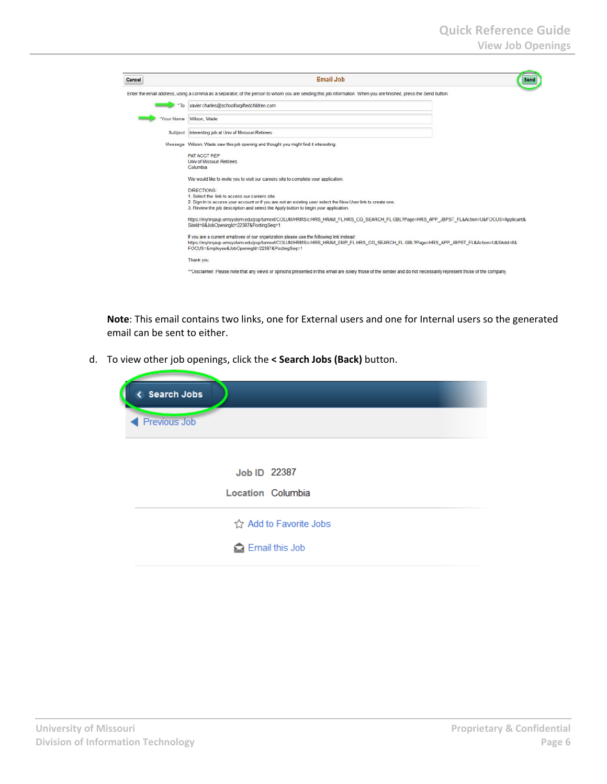| Cancel | <b>Email Job</b><br>Send                                                                                                                                                                                                                                                         |
|--------|----------------------------------------------------------------------------------------------------------------------------------------------------------------------------------------------------------------------------------------------------------------------------------|
|        | Enter the email address, using a comma as a separator, of the person to whom you are sending this job information. When you are finished, press the Send button.                                                                                                                 |
|        | T <sub>o</sub><br>xavier.charles@schoolforgiftedchildren.com                                                                                                                                                                                                                     |
|        | Wilson, Wade<br>'Your Name                                                                                                                                                                                                                                                       |
|        | Subject Interesting job at Univ of Missouri Retirees                                                                                                                                                                                                                             |
|        | Message Wilson, Wade saw this job opening and thought you might find it interesting:                                                                                                                                                                                             |
|        | PAT ACCT REP<br>Univ of Missouri Retirees<br>Columbia                                                                                                                                                                                                                            |
|        | We would like to invite you to visit our careers site to complete your application.                                                                                                                                                                                              |
|        | DIRECTIONS:<br>1. Select the link to access our careers site.<br>2. Sign In to access your account or if you are not an existing user select the New User link to create one.<br>3. Review the job description and select the Apply button to begin your application.            |
|        | https://myhrgaup.umsystem.edu/psp/tamext/COLUMHRMS/c/HRS_HRAM_FL.HRS_CG_SEARCH_FL.GBL?Page=HRS_APP_JBPST_FL&Action=U&FOCUS=Applicant&<br>SiteId=6&JobOpeningId=22387&PostingSeg=1                                                                                                |
|        | If you are a current employee of our organization please use the following link instead:<br>https://myhrqaup.umsystem.edu/psp/tamext/COLUMHRMS/c/HRS_HRAM_EMP_FL.HRS_CG_SEARCH_FL.GBL?Page=HRS_APP_JBPST_FL&Action=U&SiteId=6&<br>FOCUS=Employee&JobOpeningId=22387&PostingSeg=1 |
|        | Thank you.                                                                                                                                                                                                                                                                       |
|        | **Disclaimer: Please note that any views or opinions presented in this email are solely those of the sender and do not necessarily represent those of the company.                                                                                                               |

**Note**: This email contains two links, one for External users and one for Internal users so the generated email can be sent to either.

d. To view other job openings, click the **< Search Jobs (Back)** button.

| < Search Jobs |                        |
|---------------|------------------------|
| Previous Job  |                        |
|               |                        |
|               | Job ID 22387           |
|               | Location Columbia      |
|               | ☆ Add to Favorite Jobs |
|               | Email this Job         |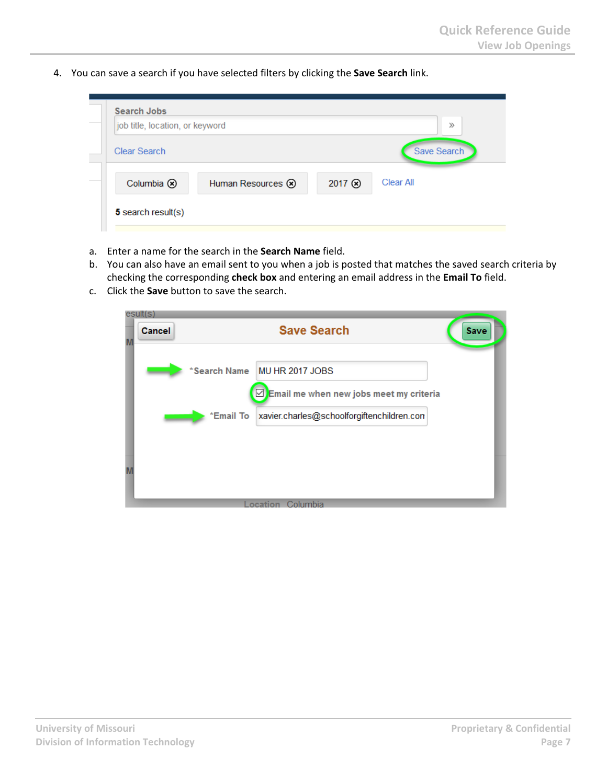4. You can save a search if you have selected filters by clicking the **Save Search** link.

| job title, location, or keyword |                   |        | $\gg$       |
|---------------------------------|-------------------|--------|-------------|
| Clear Search                    |                   |        | Save Search |
| Columbia ®                      | Human Resources 8 | 2017 3 | Clear All   |

- a. Enter a name for the search in the **Search Name** field.
- b. You can also have an email sent to you when a job is posted that matches the saved search criteria by checking the corresponding **check box** and entering an email address in the **Email To** field.
- c. Click the **Save** button to save the search.

| 'esult(s)<br>Cancel | <b>Save Search</b>                                      | Save |
|---------------------|---------------------------------------------------------|------|
|                     | *Search Name MU HR 2017 JOBS                            |      |
|                     | $\boxdot$ Email me when new jobs meet my criteria       |      |
|                     | xavier.charles@schoolforgiftenchildren.con<br>*Email To |      |
|                     |                                                         |      |
|                     |                                                         |      |
|                     | ocation Columbia                                        |      |